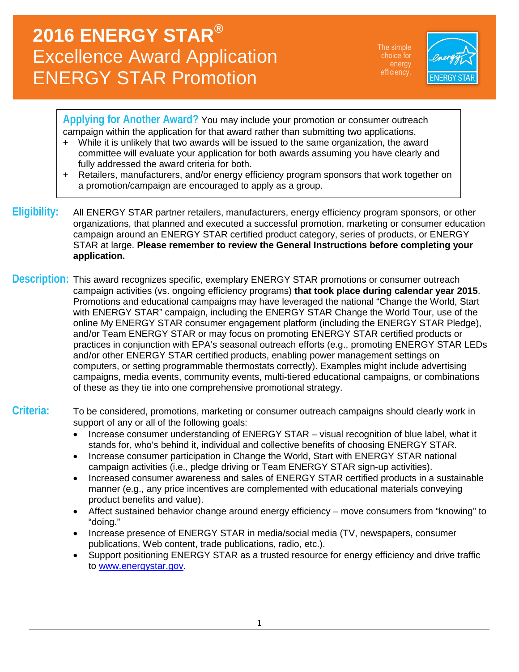# **2016 ENERGY STAR®** Excellence Award Application ENERGY STAR Promotion

The simple choice for energy



**Applying for Another Award?** You may include your promotion or consumer outreach campaign within the application for that award rather than submitting two applications.

- + While it is unlikely that two awards will be issued to the same organization, the award committee will evaluate your application for both awards assuming you have clearly and fully addressed the award criteria for both.
- + Retailers, manufacturers, and/or energy efficiency program sponsors that work together on a promotion/campaign are encouraged to apply as a group.
- **Eligibility:** All ENERGY STAR partner retailers, manufacturers, energy efficiency program sponsors, or other organizations, that planned and executed a successful promotion, marketing or consumer education campaign around an ENERGY STAR certified product category, series of products, or ENERGY STAR at large. **Please remember to review the General Instructions before completing your application.**
- **Description:** This award recognizes specific, exemplary ENERGY STAR promotions or consumer outreach campaign activities (vs. ongoing efficiency programs) **that took place during calendar year 2015**. Promotions and educational campaigns may have leveraged the national "Change the World, Start with ENERGY STAR" campaign, including the ENERGY STAR Change the World Tour, use of the online My ENERGY STAR consumer engagement platform (including the ENERGY STAR Pledge), and/or Team ENERGY STAR or may focus on promoting ENERGY STAR certified products or practices in conjunction with EPA's seasonal outreach efforts (e.g., promoting ENERGY STAR LEDs and/or other ENERGY STAR certified products, enabling power management settings on computers, or setting programmable thermostats correctly). Examples might include advertising campaigns, media events, community events, multi-tiered educational campaigns, or combinations of these as they tie into one comprehensive promotional strategy.

### **Criteria:** To be considered, promotions, marketing or consumer outreach campaigns should clearly work in support of any or all of the following goals:

- Increase consumer understanding of ENERGY STAR visual recognition of blue label, what it stands for, who's behind it, individual and collective benefits of choosing ENERGY STAR.
- Increase consumer participation in Change the World, Start with ENERGY STAR national campaign activities (i.e., pledge driving or Team ENERGY STAR sign-up activities).
- Increased consumer awareness and sales of ENERGY STAR certified products in a sustainable manner (e.g., any price incentives are complemented with educational materials conveying product benefits and value).
- Affect sustained behavior change around energy efficiency move consumers from "knowing" to "doing."
- Increase presence of ENERGY STAR in media/social media (TV, newspapers, consumer publications, Web content, trade publications, radio, etc.).
- Support positioning ENERGY STAR as a trusted resource for energy efficiency and drive traffic to [www.energystar.gov.](http://www.energystar.gov/)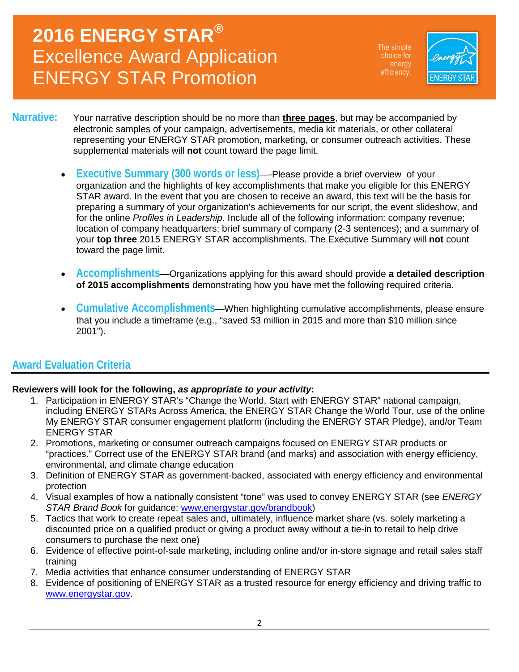# **2016 ENERGY STAR®** Excellence Award Application ENERGY STAR Promotion

The simple choice for energy



#### **Narrative:** Your narrative description should be no more than **three pages**, but may be accompanied by electronic samples of your campaign, advertisements, media kit materials, or other collateral representing your ENERGY STAR promotion, marketing, or consumer outreach activities. These supplemental materials will **not** count toward the page limit.

- **Executive Summary (300 words or less)**—-Please provide a brief overview of your organization and the highlights of key accomplishments that make you eligible for this ENERGY STAR award. In the event that you are chosen to receive an award, this text will be the basis for preparing a summary of your organization's achievements for our script, the event slideshow, and for the online *Profiles in Leadership*. Include all of the following information: company revenue; location of company headquarters; brief summary of company (2-3 sentences); and a summary of your **top three** 2015 ENERGY STAR accomplishments. The Executive Summary will **not** count toward the page limit.
- **Accomplishments**—Organizations applying for this award should provide **a detailed description of 2015 accomplishments** demonstrating how you have met the following required criteria.
- **Cumulative Accomplishments**—When highlighting cumulative accomplishments, please ensure that you include a timeframe (e.g., "saved \$3 million in 2015 and more than \$10 million since 2001").

### **Award Evaluation Criteria**

#### **Reviewers will look for the following,** *as appropriate to your activity***:**

- 1. Participation in ENERGY STAR's "Change the World, Start with ENERGY STAR" national campaign, including ENERGY STARs Across America, the ENERGY STAR Change the World Tour, use of the online My ENERGY STAR consumer engagement platform (including the ENERGY STAR Pledge), and/or Team ENERGY STAR
- 2. Promotions, marketing or consumer outreach campaigns focused on ENERGY STAR products or "practices." Correct use of the ENERGY STAR brand (and marks) and association with energy efficiency, environmental, and climate change education
- 3. Definition of ENERGY STAR as government-backed, associated with energy efficiency and environmental protection
- 4. Visual examples of how a nationally consistent "tone" was used to convey ENERGY STAR (see *ENERGY STAR Brand Book* for guidance: [www.energystar.gov/brandbook\)](http://www.energystar.gov/brandbook)
- 5. Tactics that work to create repeat sales and, ultimately, influence market share (vs. solely marketing a discounted price on a qualified product or giving a product away without a tie-in to retail to help drive consumers to purchase the next one)
- 6. Evidence of effective point-of-sale marketing, including online and/or in-store signage and retail sales staff training
- 7. Media activities that enhance consumer understanding of ENERGY STAR
- 8. Evidence of positioning of ENERGY STAR as a trusted resource for energy efficiency and driving traffic to [www.energystar.gov.](http://www.energystar.gov/)